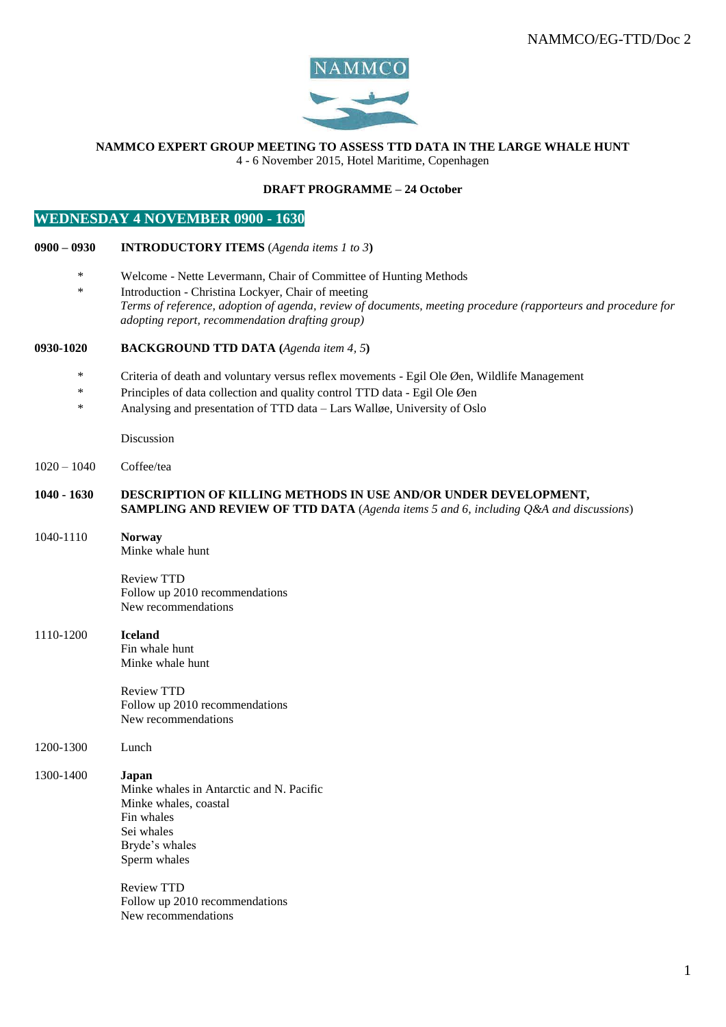

#### **NAMMCO EXPERT GROUP MEETING TO ASSESS TTD DATA IN THE LARGE WHALE HUNT** 4 - 6 November 2015, Hotel Maritime, Copenhagen

#### **DRAFT PROGRAMME – 24 October**

# **WEDNESDAY 4 NOVEMBER 0900 - 1630**

### **0900 – 0930 INTRODUCTORY ITEMS** (*Agenda items 1 to 3***)**

- \* Welcome Nette Levermann, Chair of Committee of Hunting Methods
- \* Introduction Christina Lockyer, Chair of meeting *Terms of reference, adoption of agenda, review of documents, meeting procedure (rapporteurs and procedure for adopting report, recommendation drafting group)*

### **0930-1020 BACKGROUND TTD DATA (***Agenda item 4, 5***)**

- \* Criteria of death and voluntary versus reflex movements Egil Ole Øen, Wildlife Management
- \* Principles of data collection and quality control TTD data Egil Ole Øen
- \* Analysing and presentation of TTD data Lars Walløe, University of Oslo

Discussion

1020 – 1040 Coffee/tea

#### **1040 - 1630 DESCRIPTION OF KILLING METHODS IN USE AND/OR UNDER DEVELOPMENT, SAMPLING AND REVIEW OF TTD DATA** (*Agenda items 5 and 6, including Q&A and discussions*)

1040-1110 **Norway**

Minke whale hunt

Review TTD Follow up 2010 recommendations New recommendations

## 1110-1200 **Iceland**

Fin whale hunt Minke whale hunt

Review TTD Follow up 2010 recommendations New recommendations

1200-1300 Lunch

### 1300-1400 **Japan**

Minke whales in Antarctic and N. Pacific Minke whales, coastal Fin whales Sei whales Bryde's whales Sperm whales

> Review TTD Follow up 2010 recommendations New recommendations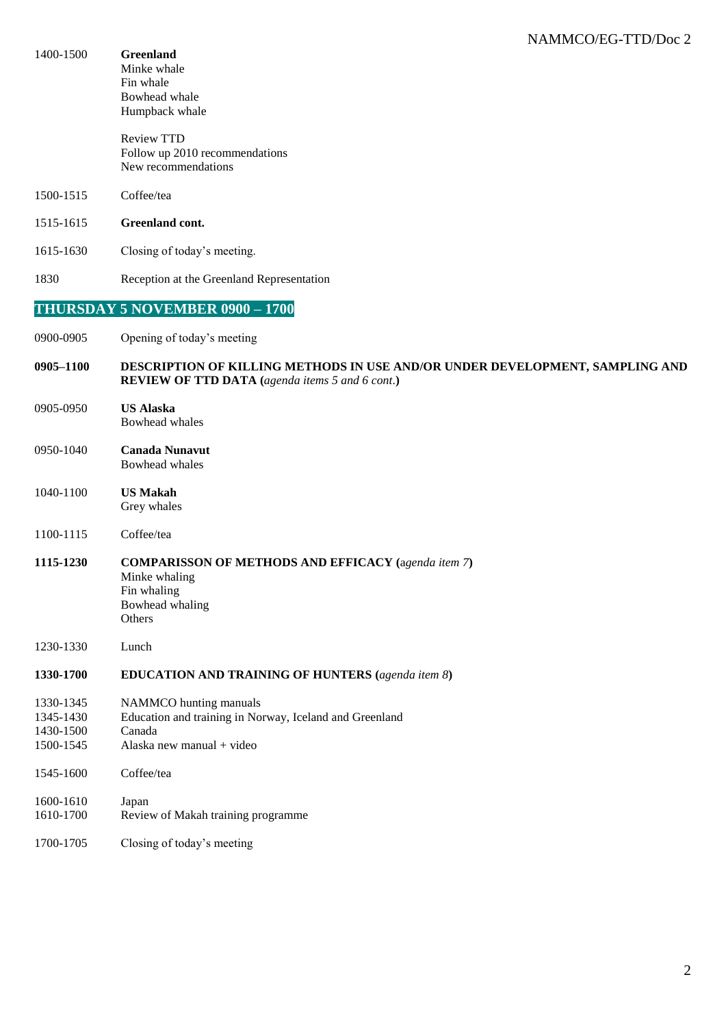| 1400-1500                                        | <b>Greenland</b><br>Minke whale<br>Fin whale<br>Bowhead whale<br>Humpback whale                                                        |
|--------------------------------------------------|----------------------------------------------------------------------------------------------------------------------------------------|
|                                                  | <b>Review TTD</b><br>Follow up 2010 recommendations<br>New recommendations                                                             |
| 1500-1515                                        | Coffee/tea                                                                                                                             |
| 1515-1615                                        | Greenland cont.                                                                                                                        |
| 1615-1630                                        | Closing of today's meeting.                                                                                                            |
| 1830                                             | Reception at the Greenland Representation                                                                                              |
|                                                  | THURSDAY 5 NOVEMBER 0900 - 1700                                                                                                        |
| 0900-0905                                        | Opening of today's meeting                                                                                                             |
| 0905-1100                                        | DESCRIPTION OF KILLING METHODS IN USE AND/OR UNDER DEVELOPMENT, SAMPLING AND<br><b>REVIEW OF TTD DATA</b> (agenda items 5 and 6 cont.) |
| 0905-0950                                        | <b>US Alaska</b><br>Bowhead whales                                                                                                     |
| 0950-1040                                        | <b>Canada Nunavut</b><br>Bowhead whales                                                                                                |
| 1040-1100                                        | <b>US Makah</b><br>Grey whales                                                                                                         |
| 1100-1115                                        | Coffee/tea                                                                                                                             |
| 1115-1230                                        | <b>COMPARISSON OF METHODS AND EFFICACY</b> (agenda item 7)<br>Minke whaling<br>Fin whaling<br>Bowhead whaling<br>Others                |
| 1230-1330                                        | Lunch                                                                                                                                  |
| 1330-1700                                        | <b>EDUCATION AND TRAINING OF HUNTERS</b> (agenda item 8)                                                                               |
| 1330-1345<br>1345-1430<br>1430-1500<br>1500-1545 | NAMMCO hunting manuals<br>Education and training in Norway, Iceland and Greenland<br>Canada<br>Alaska new manual + video               |
| 1545-1600                                        | Coffee/tea                                                                                                                             |
| 1600-1610<br>1610-1700                           | Japan<br>Review of Makah training programme                                                                                            |
| 1700-1705                                        | Closing of today's meeting                                                                                                             |